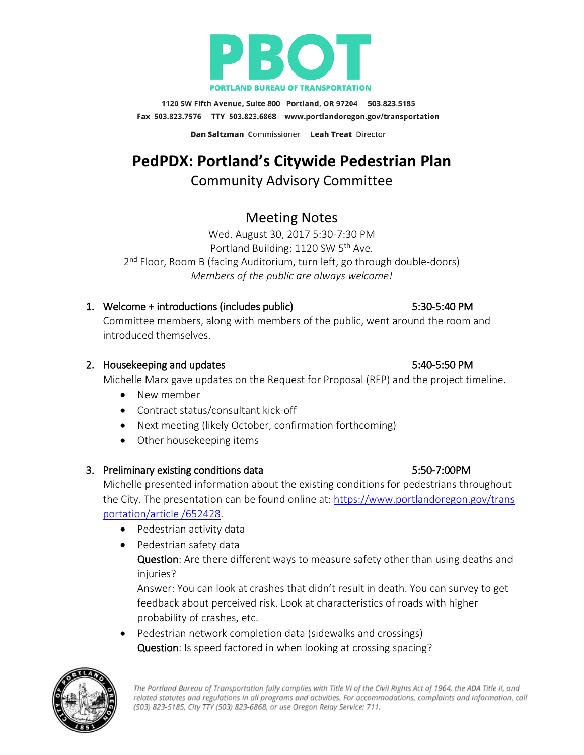

1120 SW Fifth Avenue, Suite 800 Portland, OR 97204 503.823.5185 Fax 503.823.7576 TTY 503.823.6868 www.portlandoregon.gov/transportation

Dan Saltzman Commissioner Leah Treat Director

# **PedPDX: Portland's Citywide Pedestrian Plan**

# Community Advisory Committee

# Meeting Notes

Wed. August 30, 2017 5:30-7:30 PM Portland Building: 1120 SW 5<sup>th</sup> Ave. 2<sup>nd</sup> Floor, Room B (facing Auditorium, turn left, go through double-doors) *Members of the public are always welcome!*

# 1. Welcome + introductions (includes public) 5:30-5:40 PM

Committee members, along with members of the public, went around the room and introduced themselves.

# 2. Housekeeping and updates 6.50 PM

Michelle Marx gave updates on the Request for Proposal (RFP) and the project timeline.

- New member
- Contract status/consultant kick-off
- Next meeting (likely October, confirmation forthcoming)
- Other housekeeping items

# 3. Preliminary existing conditions data 5:50-7:00PM

Michelle presented information about the existing conditions for pedestrians throughout the City. The presentation can be found online at: [https://www.portlandoregon.gov/trans](https://www.portlandoregon.gov/trans%20portation/article%20/652428)  [portation/article /652428.](https://www.portlandoregon.gov/trans%20portation/article%20/652428)

- Pedestrian activity data
- Pedestrian safety data Question: Are there different ways to measure safety other than using deaths and injuries?

Answer: You can look at crashes that didn't result in death. You can survey to get feedback about perceived risk. Look at characteristics of roads with higher probability of crashes, etc.

• Pedestrian network completion data (sidewalks and crossings) Question: Is speed factored in when looking at crossing spacing?

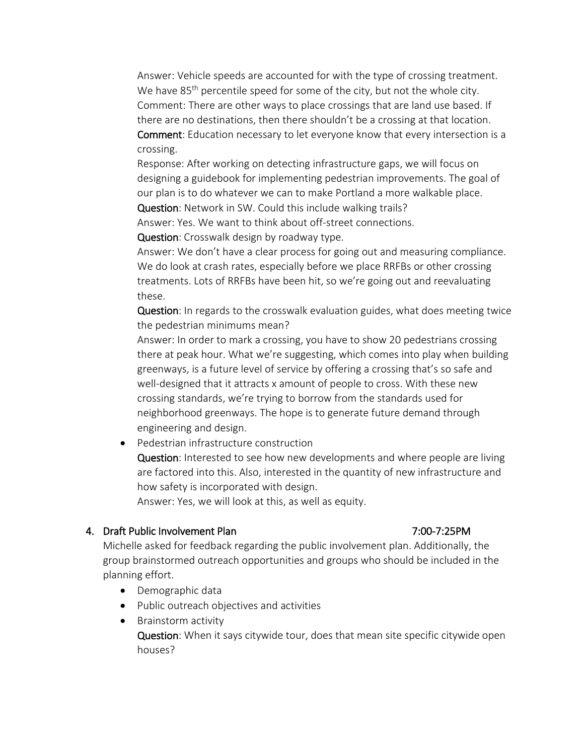Answer: Vehicle speeds are accounted for with the type of crossing treatment. We have 85<sup>th</sup> percentile speed for some of the city, but not the whole city. Comment: There are other ways to place crossings that are land use based. If there are no destinations, then there shouldn't be a crossing at that location. Comment: Education necessary to let everyone know that every intersection is a

crossing.

Response: After working on detecting infrastructure gaps, we will focus on designing a guidebook for implementing pedestrian improvements. The goal of our plan is to do whatever we can to make Portland a more walkable place.

Question: Network in SW. Could this include walking trails?

Answer: Yes. We want to think about off-street connections.

Question: Crosswalk design by roadway type.

Answer: We don't have a clear process for going out and measuring compliance. We do look at crash rates, especially before we place RRFBs or other crossing treatments. Lots of RRFBs have been hit, so we're going out and reevaluating these.

Question: In regards to the crosswalk evaluation guides, what does meeting twice the pedestrian minimums mean?

Answer: In order to mark a crossing, you have to show 20 pedestrians crossing there at peak hour. What we're suggesting, which comes into play when building greenways, is a future level of service by offering a crossing that's so safe and well-designed that it attracts x amount of people to cross. With these new crossing standards, we're trying to borrow from the standards used for neighborhood greenways. The hope is to generate future demand through engineering and design.

• Pedestrian infrastructure construction

Question: Interested to see how new developments and where people are living are factored into this. Also, interested in the quantity of new infrastructure and how safety is incorporated with design.

Answer: Yes, we will look at this, as well as equity.

### 4. Draft Public Involvement Plan 7:00-7:25PM

Michelle asked for feedback regarding the public involvement plan. Additionally, the group brainstormed outreach opportunities and groups who should be included in the planning effort.

- Demographic data
- Public outreach objectives and activities
- Brainstorm activity

Question: When it says citywide tour, does that mean site specific citywide open houses?